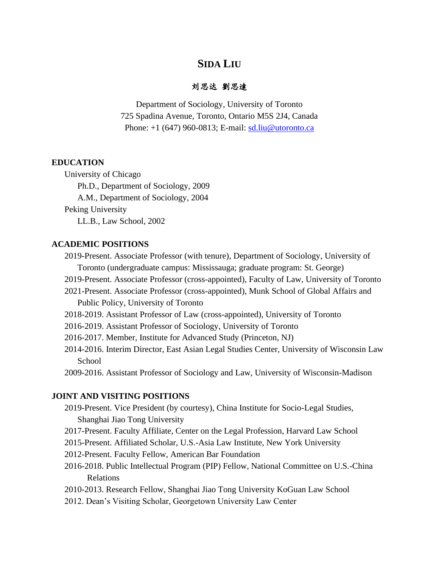# **SIDA LIU**

## 刘思达 劉思達

Department of Sociology, University of Toronto 725 Spadina Avenue, Toronto, Ontario M5S 2J4, Canada Phone: +1 (647) 960-0813; E-mail: [sd.liu@utoronto.ca](mailto:sd.liu@utoronto.ca)

#### **EDUCATION**

University of Chicago

Ph.D., Department of Sociology, 2009

A.M., Department of Sociology, 2004

Peking University

LL.B., Law School, 2002

#### **ACADEMIC POSITIONS**

- 2019-Present. Associate Professor (with tenure), Department of Sociology, University of Toronto (undergraduate campus: Mississauga; graduate program: St. George)
- 2019-Present. Associate Professor (cross-appointed), Faculty of Law, University of Toronto
- 2021-Present. Associate Professor (cross-appointed), Munk School of Global Affairs and Public Policy, University of Toronto
- 2018-2019. Assistant Professor of Law (cross-appointed), University of Toronto
- 2016-2019. Assistant Professor of Sociology, University of Toronto
- 2016-2017. Member, Institute for Advanced Study (Princeton, NJ)
- 2014-2016. Interim Director, East Asian Legal Studies Center, University of Wisconsin Law School

2009-2016. Assistant Professor of Sociology and Law, University of Wisconsin-Madison

## **JOINT AND VISITING POSITIONS**

- 2019-Present. Vice President (by courtesy), China Institute for Socio-Legal Studies, Shanghai Jiao Tong University
- 2017-Present. Faculty Affiliate, Center on the Legal Profession, Harvard Law School
- 2015-Present. Affiliated Scholar, U.S.-Asia Law Institute, New York University
- 2012-Present. Faculty Fellow, American Bar Foundation
- 2016-2018. Public Intellectual Program (PIP) Fellow, National Committee on U.S.-China Relations
- 2010-2013. Research Fellow, Shanghai Jiao Tong University KoGuan Law School
- 2012. Dean's Visiting Scholar, Georgetown University Law Center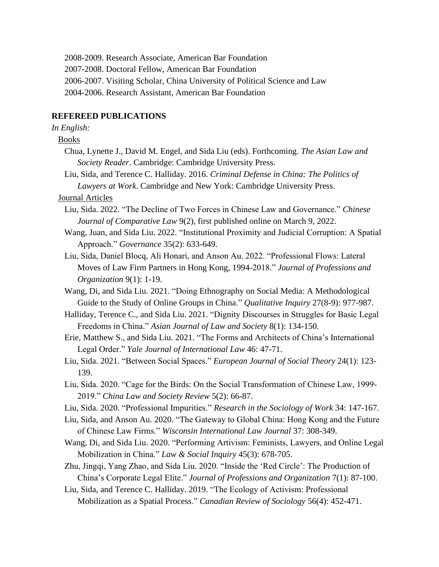- 2008-2009. Research Associate, American Bar Foundation
- 2007-2008. Doctoral Fellow, American Bar Foundation
- 2006-2007. Visiting Scholar, China University of Political Science and Law
- 2004-2006. Research Assistant, American Bar Foundation

### **REFEREED PUBLICATIONS**

## *In English:*

# Books

- Chua, Lynette J., David M. Engel, and Sida Liu (eds). Forthcoming. *The Asian Law and Society Reader*. Cambridge: Cambridge University Press.
- Liu, Sida, and Terence C. Halliday. 2016. *Criminal Defense in China: The Politics of Lawyers at Work*. Cambridge and New York: Cambridge University Press.

## Journal Articles

- Liu, Sida. 2022. "The Decline of Two Forces in Chinese Law and Governance." *Chinese Journal of Comparative Law* 9(2), first published online on March 9, 2022.
- Wang, Juan, and Sida Liu. 2022. "Institutional Proximity and Judicial Corruption: A Spatial Approach." *Governance* 35(2): 633-649.
- Liu, Sida, Daniel Blocq, Ali Honari, and Anson Au. 2022. "Professional Flows: Lateral Moves of Law Firm Partners in Hong Kong, 1994-2018." *Journal of Professions and Organization* 9(1): 1-19.
- Wang, Di, and Sida Liu. 2021. "Doing Ethnography on Social Media: A Methodological Guide to the Study of Online Groups in China." *Qualitative Inquiry* 27(8-9): 977-987.
- Halliday, Terence C., and Sida Liu. 2021. "Dignity Discourses in Struggles for Basic Legal Freedoms in China." *Asian Journal of Law and Society* 8(1): 134-150.
- Erie, Matthew S., and Sida Liu. 2021. "The Forms and Architects of China's International Legal Order." *Yale Journal of International Law* 46: 47-71.
- Liu, Sida. 2021. "Between Social Spaces." *European Journal of Social Theory* 24(1): 123- 139.
- Liu, Sida. 2020. "Cage for the Birds: On the Social Transformation of Chinese Law, 1999- 2019." *China Law and Society Review* 5(2): 66-87.
- Liu, Sida. 2020. "Professional Impurities." *Research in the Sociology of Work* 34: 147-167.
- Liu, Sida, and Anson Au. 2020. "The Gateway to Global China: Hong Kong and the Future of Chinese Law Firms." *Wisconsin International Law Journal* 37: 308-349.
- Wang, Di, and Sida Liu. 2020. "Performing Artivism: Feminists, Lawyers, and Online Legal Mobilization in China." *Law & Social Inquiry* 45(3): 678-705.
- Zhu, Jingqi, Yang Zhao, and Sida Liu. 2020. "Inside the 'Red Circle': The Production of China's Corporate Legal Elite." *Journal of Professions and Organization* 7(1): 87-100.
- Liu, Sida, and Terence C. Halliday. 2019. "The Ecology of Activism: Professional Mobilization as a Spatial Process." *Canadian Review of Sociology* 56(4): 452-471.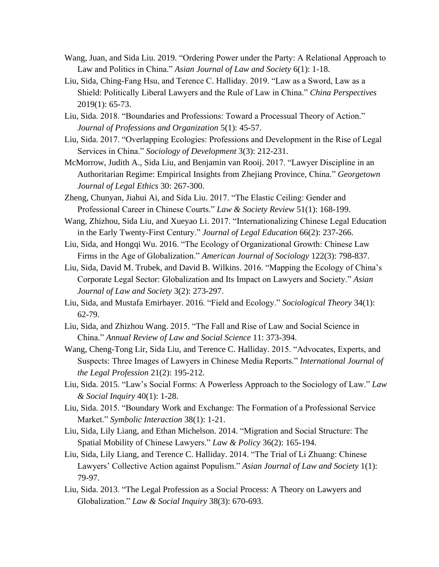- Wang, Juan, and Sida Liu. 2019. "Ordering Power under the Party: A Relational Approach to Law and Politics in China." *Asian Journal of Law and Society* 6(1): 1-18.
- Liu, Sida, Ching-Fang Hsu, and Terence C. Halliday. 2019. "Law as a Sword, Law as a Shield: Politically Liberal Lawyers and the Rule of Law in China." *China Perspectives* 2019(1): 65-73.
- Liu, Sida. 2018. "Boundaries and Professions: Toward a Processual Theory of Action." *Journal of Professions and Organization* 5(1): 45-57.
- Liu, Sida. 2017. "Overlapping Ecologies: Professions and Development in the Rise of Legal Services in China." *Sociology of Development* 3(3): 212-231.
- McMorrow, Judith A., Sida Liu, and Benjamin van Rooij. 2017. "Lawyer Discipline in an Authoritarian Regime: Empirical Insights from Zhejiang Province, China." *Georgetown Journal of Legal Ethics* 30: 267-300.
- Zheng, Chunyan, Jiahui Ai, and Sida Liu. 2017. "The Elastic Ceiling: Gender and Professional Career in Chinese Courts." *Law & Society Review* 51(1): 168-199.
- Wang, Zhizhou, Sida Liu, and Xueyao Li. 2017. "Internationalizing Chinese Legal Education in the Early Twenty-First Century." *Journal of Legal Education* 66(2): 237-266.
- Liu, Sida, and Hongqi Wu. 2016. "The Ecology of Organizational Growth: Chinese Law Firms in the Age of Globalization." *American Journal of Sociology* 122(3): 798-837.
- Liu, Sida, David M. Trubek, and David B. Wilkins. 2016. "Mapping the Ecology of China's Corporate Legal Sector: Globalization and Its Impact on Lawyers and Society." *Asian Journal of Law and Society* 3(2): 273-297.
- Liu, Sida, and Mustafa Emirbayer. 2016. "Field and Ecology." *Sociological Theory* 34(1): 62-79.
- Liu, Sida, and Zhizhou Wang. 2015. "The Fall and Rise of Law and Social Science in China." *Annual Review of Law and Social Science* 11: 373-394.
- Wang, Cheng-Tong Lir, Sida Liu, and Terence C. Halliday. 2015. "Advocates, Experts, and Suspects: Three Images of Lawyers in Chinese Media Reports." *International Journal of the Legal Profession* 21(2): 195-212.
- Liu, Sida. 2015. "Law's Social Forms: A Powerless Approach to the Sociology of Law." *Law & Social Inquiry* 40(1): 1-28.
- Liu, Sida. 2015. "Boundary Work and Exchange: The Formation of a Professional Service Market." *Symbolic Interaction* 38(1): 1-21.
- Liu, Sida, Lily Liang, and Ethan Michelson. 2014. "Migration and Social Structure: The Spatial Mobility of Chinese Lawyers." *Law & Policy* 36(2): 165-194.
- Liu, Sida, Lily Liang, and Terence C. Halliday. 2014. "The Trial of Li Zhuang: Chinese Lawyers' Collective Action against Populism." *Asian Journal of Law and Society* 1(1): 79-97.
- Liu, Sida. 2013. "The Legal Profession as a Social Process: A Theory on Lawyers and Globalization." *Law & Social Inquiry* 38(3): 670-693.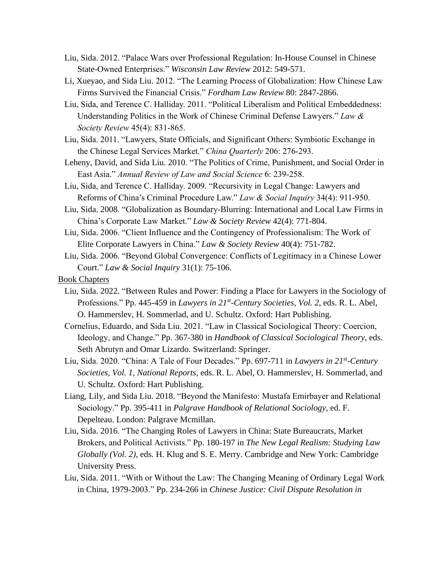- Liu, Sida. 2012. "Palace Wars over Professional Regulation: In-House Counsel in Chinese State-Owned Enterprises." *Wisconsin Law Review* 2012: 549-571.
- Li, Xueyao, and Sida Liu. 2012. "The Learning Process of Globalization: How Chinese Law Firms Survived the Financial Crisis." *Fordham Law Review* 80: 2847-2866.
- Liu, Sida, and Terence C. Halliday. 2011. "Political Liberalism and Political Embeddedness: Understanding Politics in the Work of Chinese Criminal Defense Lawyers." *Law & Society Review* 45(4): 831-865.
- Liu, Sida. 2011. "Lawyers, State Officials, and Significant Others: Symbiotic Exchange in the Chinese Legal Services Market." *China Quarterly* 206: 276-293.
- Leheny, David, and Sida Liu. 2010. "The Politics of Crime, Punishment, and Social Order in East Asia." *Annual Review of Law and Social Science* 6: 239-258.
- Liu, Sida, and Terence C. Halliday. 2009. "Recursivity in Legal Change: Lawyers and Reforms of China's Criminal Procedure Law." *Law & Social Inquiry* 34(4): 911-950.
- Liu, Sida. 2008. "Globalization as Boundary-Blurring: International and Local Law Firms in China's Corporate Law Market." *Law & Society Review* 42(4): 771-804.
- Liu, Sida. 2006. "Client Influence and the Contingency of Professionalism: The Work of Elite Corporate Lawyers in China." *Law & Society Review* 40(4): 751-782.
- Liu, Sida. 2006. "Beyond Global Convergence: Conflicts of Legitimacy in a Chinese Lower Court." *Law & Social Inquiry* 31(1): 75-106.

Book Chapters

- Liu, Sida. 2022. "Between Rules and Power: Finding a Place for Lawyers in the Sociology of Professions." Pp. 445-459 in *Lawyers in 21<sup>st</sup>-Century Societies, Vol. 2*, eds. R. L. Abel, O. Hammerslev, H. Sommerlad, and U. Schultz. Oxford: Hart Publishing.
- Cornelius, Eduardo, and Sida Liu. 2021. "Law in Classical Sociological Theory: Coercion, Ideology, and Change." Pp. 367-380 in *Handbook of Classical Sociological Theory*, eds. Seth Abrutyn and Omar Lizardo. Switzerland: Springer.
- Liu, Sida. 2020. "China: A Tale of Four Decades." Pp. 697-711 in *Lawyers in 21st -Century Societies, Vol. 1, National Reports*, eds. R. L. Abel, O. Hammerslev, H. Sommerlad, and U. Schultz. Oxford: Hart Publishing.
- Liang, Lily, and Sida Liu. 2018. "Beyond the Manifesto: Mustafa Emirbayer and Relational Sociology." Pp. 395-411 in *Palgrave Handbook of Relational Sociology*, ed. F. Depelteau. London: Palgrave Mcmillan.
- Liu, Sida. 2016. "The Changing Roles of Lawyers in China: State Bureaucrats, Market Brokers, and Political Activists." Pp. 180-197 in *The New Legal Realism: Studying Law Globally (Vol. 2)*, eds. H. Klug and S. E. Merry. Cambridge and New York: Cambridge University Press.
- Liu, Sida. 2011. "With or Without the Law: The Changing Meaning of Ordinary Legal Work in China, 1979-2003." Pp. 234-266 in *Chinese Justice: Civil Dispute Resolution in*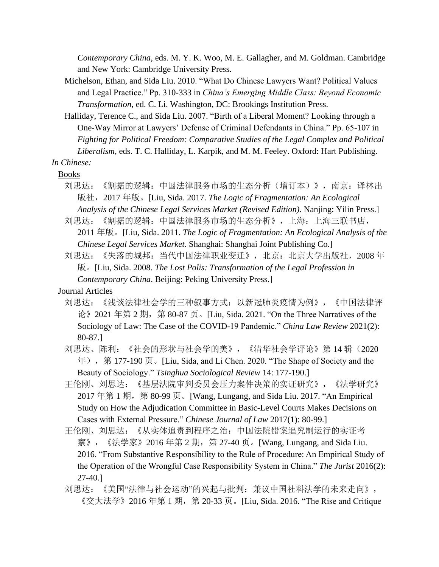*Contemporary China*, eds. M. Y. K. Woo, M. E. Gallagher, and M. Goldman. Cambridge and New York: Cambridge University Press.

Michelson, Ethan, and Sida Liu. 2010. "What Do Chinese Lawyers Want? Political Values and Legal Practice." Pp. 310-333 in *China's Emerging Middle Class: Beyond Economic Transformation*, ed. C. Li. Washington, DC: Brookings Institution Press.

Halliday, Terence C., and Sida Liu. 2007. "Birth of a Liberal Moment? Looking through a One-Way Mirror at Lawyers' Defense of Criminal Defendants in China." Pp. 65-107 in *Fighting for Political Freedom: Comparative Studies of the Legal Complex and Political Liberalism*, eds. T. C. Halliday, L. Karpik, and M. M. Feeley. Oxford: Hart Publishing.

*In Chinese:* 

Books

- 刘思达: 《割据的逻辑: 中国法律服务市场的生态分析 (增订本) 》, 南京: 译林出 版社,2017 年版。[Liu, Sida. 2017. *The Logic of Fragmentation: An Ecological Analysis of the Chinese Legal Services Market (Revised Edition)*. Nanjing: Yilin Press.]
- 刘思达:《割据的逻辑:中国法律服务市场的生态分析》,上海:上海三联书店, 2011 年版。[Liu, Sida. 2011. *The Logic of Fragmentation: An Ecological Analysis of the Chinese Legal Services Market*. Shanghai: Shanghai Joint Publishing Co.]
- 刘思达: 《失落的城邦: 当代中国法律职业变迁》, 北京: 北京大学出版社, 2008 年 版。[Liu, Sida. 2008. *The Lost Polis: Transformation of the Legal Profession in Contemporary China*. Beijing: Peking University Press.]

Journal Articles

- 刘思达:《浅谈法律社会学的三种叙事方式:以新冠肺炎疫情为例》,《中国法律评 论》2021 年第 2 期,第 80-87 页。[Liu, Sida. 2021. "On the Three Narratives of the Sociology of Law: The Case of the COVID-19 Pandemic." *China Law Review* 2021(2): 80-87.]
- 刘思达、陈利:《社会的形状与社会学的美》,《清华社会学评论》第 14 辑(2020 年),第 177-190 页。[Liu, Sida, and Li Chen. 2020. "The Shape of Society and the Beauty of Sociology." *Tsinghua Sociological Review* 14: 177-190.]
- 王伦刚、刘思达:《基层法院审判委员会压力案件决策的实证研究》,《法学研究》 2017 年第 1 期, 第 80-99 页。[Wang, Lungang, and Sida Liu. 2017. "An Empirical Study on How the Adjudication Committee in Basic-Level Courts Makes Decisions on Cases with External Pressure." *Chinese Journal of Law* 2017(1): 80-99.]
- 王伦刚、刘思达:《从实体追责到程序之治:中国法院错案追究制运行的实证考 察》, 《法学家》2016 年第 2 期, 第 27-40 页。[Wang, Lungang, and Sida Liu. 2016. "From Substantive Responsibility to the Rule of Procedure: An Empirical Study of the Operation of the Wrongful Case Responsibility System in China." *The Jurist* 2016(2): 27-40.]
- 刘思达:《美国"法律与社会运动"的兴起与批判:兼议中国社科法学的未来走向》, 《交大法学》2016年第1期, 第 20-33 页。[Liu, Sida. 2016. "The Rise and Critique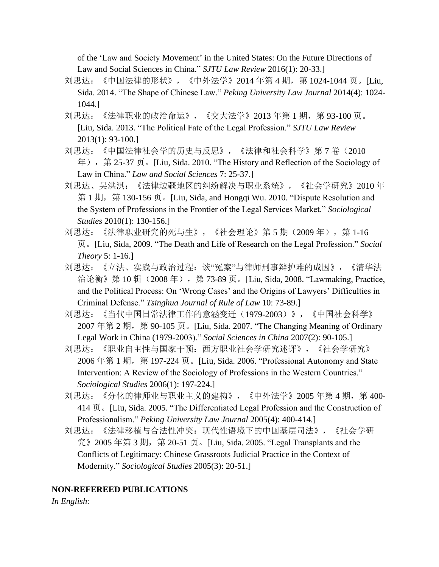of the 'Law and Society Movement' in the United States: On the Future Directions of Law and Social Sciences in China." *SJTU Law Review* 2016(1): 20-33.]

- 刘思达: 《中国法律的形状》, 《中外法学》2014 年第 4 期, 第 1024-1044 页。[Liu, Sida. 2014. "The Shape of Chinese Law." *Peking University Law Journal* 2014(4): 1024- 1044.]
- 刘思达: 《法律职业的政治命运》, 《交大法学》2013 年第 1 期, 第 93-100 页。 [Liu, Sida. 2013. "The Political Fate of the Legal Profession." *SJTU Law Review* 2013(1): 93-100.]
- 刘思达:《中国法律社会学的历史与反思》,《法律和社会科学》第 7 卷(2010 年),第 25-37 页。[Liu, Sida. 2010. "The History and Reflection of the Sociology of Law in China." *Law and Social Sciences* 7: 25-37.]
- 刘思达、吴洪淇:《法律边疆地区的纠纷解决与职业系统》,《社会学研究》2010 年 第 1 期, 第 130-156 页。[Liu, Sida, and Hongqi Wu. 2010. "Dispute Resolution and the System of Professions in the Frontier of the Legal Services Market." *Sociological Studies* 2010(1): 130-156.]
- 刘思达:《法律职业研究的死与生》,《社会理论》第 5 期 (2009 年), 第 1-16 页。[Liu, Sida, 2009. "The Death and Life of Research on the Legal Profession." *Social Theory* 5: 1-16.]
- 刘思达:《立法、实践与政治过程:谈"冤案"与律师刑事辩护难的成因》,《清华法 治论衡》第 10 辑(2008 年),第 73-89 页。[Liu, Sida, 2008. "Lawmaking, Practice, and the Political Process: On 'Wrong Cases' and the Origins of Lawyers' Difficulties in Criminal Defense." *Tsinghua Journal of Rule of Law* 10: 73-89.]
- 刘思达:《当代中国日常法律工作的意涵变迁(1979-2003)》,《中国社会科学》  $2007 \ncong 2$  期, 第 90-105 页。[Liu, Sida. 2007. "The Changing Meaning of Ordinary Legal Work in China (1979-2003)." *Social Sciences in China* 2007(2): 90-105.]
- 刘思达:《职业自主性与国家干预:西方职业社会学研究述评》,《社会学研究》 2006年第1期, 第197-224 页。[Liu, Sida. 2006. "Professional Autonomy and State Intervention: A Review of the Sociology of Professions in the Western Countries." *Sociological Studies* 2006(1): 197-224.]
- 刘思达: 《分化的律师业与职业主义的建构》, 《中外法学》2005 年第 4 期, 第 400-414 页。[Liu, Sida. 2005. "The Differentiated Legal Profession and the Construction of Professionalism." *Peking University Law Journal* 2005(4): 400-414.]
- 刘思达:《法律移植与合法性冲突:现代性语境下的中国基层司法》,《社会学研 究》2005 年第 3 期, 第 20-51 页。[Liu, Sida. 2005. "Legal Transplants and the Conflicts of Legitimacy: Chinese Grassroots Judicial Practice in the Context of Modernity." *Sociological Studies* 2005(3): 20-51.]

## **NON-REFEREED PUBLICATIONS**

*In English:*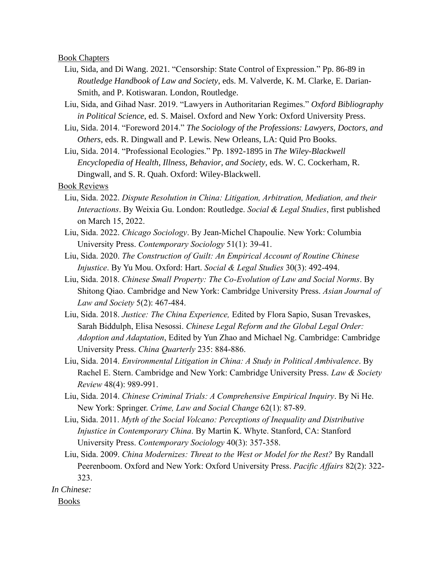#### Book Chapters

- Liu, Sida, and Di Wang. 2021. "Censorship: State Control of Expression." Pp. 86-89 in *Routledge Handbook of Law and Society*, eds. M. Valverde, K. M. Clarke, E. Darian-Smith, and P. Kotiswaran. London, Routledge.
- Liu, Sida, and Gihad Nasr. 2019. "Lawyers in Authoritarian Regimes." *Oxford Bibliography in Political Science*, ed. S. Maisel. Oxford and New York: Oxford University Press.
- Liu, Sida. 2014. "Foreword 2014." *The Sociology of the Professions: Lawyers, Doctors, and Others*, eds. R. Dingwall and P. Lewis. New Orleans, LA: Quid Pro Books.
- Liu, Sida. 2014. "Professional Ecologies." Pp. 1892-1895 in *The Wiley-Blackwell Encyclopedia of Health, Illness, Behavior, and Society*, eds. W. C. Cockerham, R. Dingwall, and S. R. Quah. Oxford: Wiley-Blackwell.

## Book Reviews

- Liu, Sida. 2022. *Dispute Resolution in China: Litigation, Arbitration, Mediation, and their Interactions*. By Weixia Gu. London: Routledge. *Social & Legal Studies*, first published on March 15, 2022.
- Liu, Sida. 2022. *Chicago Sociology*. By Jean-Michel Chapoulie. New York: Columbia University Press. *Contemporary Sociology* 51(1): 39-41.
- Liu, Sida. 2020. *The Construction of Guilt: An Empirical Account of Routine Chinese Injustice*. By Yu Mou. Oxford: Hart. *Social & Legal Studies* 30(3): 492-494.
- Liu, Sida. 2018. *Chinese Small Property: The Co-Evolution of Law and Social Norms*. By Shitong Qiao. Cambridge and New York: Cambridge University Press. *Asian Journal of Law and Society* 5(2): 467-484.
- Liu, Sida. 2018. *Justice: The China Experience,* Edited by Flora Sapio, Susan Trevaskes, Sarah Biddulph, Elisa Nesossi. *Chinese Legal Reform and the Global Legal Order: Adoption and Adaptation*, Edited by Yun Zhao and Michael Ng. Cambridge: Cambridge University Press. *China Quarterly* 235: 884-886.
- Liu, Sida. 2014. *Environmental Litigation in China: A Study in Political Ambivalence*. By Rachel E. Stern. Cambridge and New York: Cambridge University Press. *Law & Society Review* 48(4): 989-991.
- Liu, Sida. 2014. *Chinese Criminal Trials: A Comprehensive Empirical Inquiry*. By Ni He. New York: Springer. *Crime, Law and Social Change* 62(1): 87-89.
- Liu, Sida. 2011. *Myth of the Social Volcano: Perceptions of Inequality and Distributive Injustice in Contemporary China*. By Martin K. Whyte. Stanford, CA: Stanford University Press. *Contemporary Sociology* 40(3): 357-358.
- Liu, Sida. 2009. *China Modernizes: Threat to the West or Model for the Rest?* By Randall Peerenboom. Oxford and New York: Oxford University Press. *Pacific Affairs* 82(2): 322- 323.

*In Chinese:* 

Books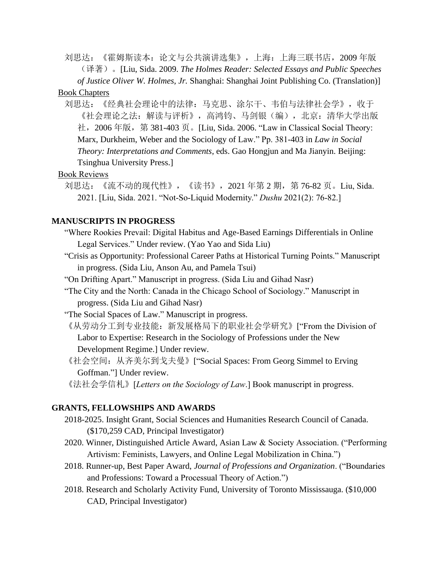刘思达:《霍姆斯读本:论文与公共演讲选集》,上海:上海三联书店,2009 年版 (译著)。[Liu, Sida. 2009. *The Holmes Reader: Selected Essays and Public Speeches of Justice Oliver W. Holmes, Jr.* Shanghai: Shanghai Joint Publishing Co. (Translation)]

### Book Chapters

刘思达:《经典社会理论中的法律:马克思、涂尔干、韦伯与法律社会学》,收于 《社会理论之法:解读与评析》,高鸿钧、马剑银(编),北京:清华大学出版 社,2006 年版,第 381-403 页。[Liu, Sida. 2006. "Law in Classical Social Theory: Marx, Durkheim, Weber and the Sociology of Law." Pp. 381-403 in *Law in Social Theory: Interpretations and Comments*, eds. Gao Hongjun and Ma Jianyin. Beijing: Tsinghua University Press.]

## Book Reviews

刘思达: 《流不动的现代性》, 《读书》, 2021 年第 2 期, 第 76-82 页。Liu, Sida. 2021. [Liu, Sida. 2021. "Not-So-Liquid Modernity." *Dushu* 2021(2): 76-82.]

#### **MANUSCRIPTS IN PROGRESS**

- "Where Rookies Prevail: Digital Habitus and Age-Based Earnings Differentials in Online Legal Services." Under review. (Yao Yao and Sida Liu)
- "Crisis as Opportunity: Professional Career Paths at Historical Turning Points." Manuscript in progress. (Sida Liu, Anson Au, and Pamela Tsui)

"On Drifting Apart." Manuscript in progress. (Sida Liu and Gihad Nasr)

- "The City and the North: Canada in the Chicago School of Sociology." Manuscript in progress. (Sida Liu and Gihad Nasr)
- "The Social Spaces of Law." Manuscript in progress.
- 《从劳动分工到专业技能: 新发展格局下的职业社会学研究》["From the Division of Labor to Expertise: Research in the Sociology of Professions under the New Development Regime.] Under review.
- 《社会空间: 从齐美尔到戈夫曼》["Social Spaces: From Georg Simmel to Erving Goffman."] Under review.
- 《法社会学信札》[*Letters on the Sociology of Law*.] Book manuscript in progress.

### **GRANTS, FELLOWSHIPS AND AWARDS**

- 2018-2025. Insight Grant, Social Sciences and Humanities Research Council of Canada. (\$170,259 CAD, Principal Investigator)
- 2020. Winner, Distinguished Article Award, Asian Law & Society Association. ("Performing Artivism: Feminists, Lawyers, and Online Legal Mobilization in China.")
- 2018. Runner-up, Best Paper Award, *Journal of Professions and Organization*. ("Boundaries and Professions: Toward a Processual Theory of Action.")
- 2018. Research and Scholarly Activity Fund, University of Toronto Mississauga. (\$10,000 CAD, Principal Investigator)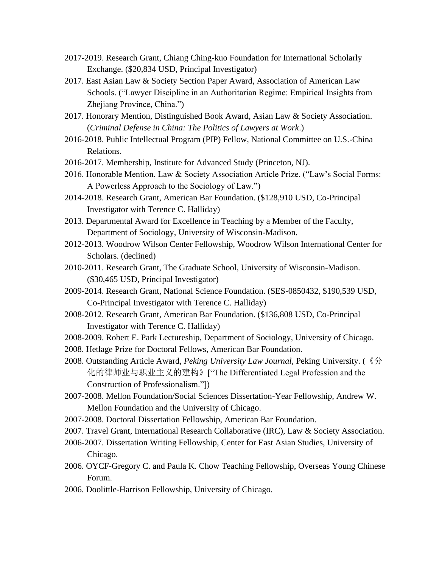- 2017-2019. Research Grant, Chiang Ching-kuo Foundation for International Scholarly Exchange. (\$20,834 USD, Principal Investigator)
- 2017. East Asian Law & Society Section Paper Award, Association of American Law Schools. ("Lawyer Discipline in an Authoritarian Regime: Empirical Insights from Zhejiang Province, China.")
- 2017. Honorary Mention, Distinguished Book Award, Asian Law & Society Association. (*Criminal Defense in China: The Politics of Lawyers at Work*.)
- 2016-2018. Public Intellectual Program (PIP) Fellow, National Committee on U.S.-China Relations.
- 2016-2017. Membership, Institute for Advanced Study (Princeton, NJ).
- 2016. Honorable Mention, Law & Society Association Article Prize. ("Law's Social Forms: A Powerless Approach to the Sociology of Law.")
- 2014-2018. Research Grant, American Bar Foundation. (\$128,910 USD, Co-Principal Investigator with Terence C. Halliday)
- 2013. Departmental Award for Excellence in Teaching by a Member of the Faculty, Department of Sociology, University of Wisconsin-Madison.
- 2012-2013. Woodrow Wilson Center Fellowship, Woodrow Wilson International Center for Scholars. (declined)
- 2010-2011. Research Grant, The Graduate School, University of Wisconsin-Madison. (\$30,465 USD, Principal Investigator)
- 2009-2014. Research Grant, National Science Foundation. (SES-0850432, \$190,539 USD, Co-Principal Investigator with Terence C. Halliday)
- 2008-2012. Research Grant, American Bar Foundation. (\$136,808 USD, Co-Principal Investigator with Terence C. Halliday)
- 2008-2009. Robert E. Park Lectureship, Department of Sociology, University of Chicago.
- 2008. Hetlage Prize for Doctoral Fellows, American Bar Foundation.
- 2008. Outstanding Article Award, *Peking University Law Journal*, Peking University. (《分 化的律师业与职业主义的建构》["The Differentiated Legal Profession and the Construction of Professionalism."])
- 2007-2008. Mellon Foundation/Social Sciences Dissertation-Year Fellowship, Andrew W. Mellon Foundation and the University of Chicago.
- 2007-2008. Doctoral Dissertation Fellowship, American Bar Foundation.
- 2007. Travel Grant, International Research Collaborative (IRC), Law & Society Association.
- 2006-2007. Dissertation Writing Fellowship, Center for East Asian Studies, University of Chicago.
- 2006. OYCF-Gregory C. and Paula K. Chow Teaching Fellowship, Overseas Young Chinese Forum.
- 2006. Doolittle-Harrison Fellowship, University of Chicago.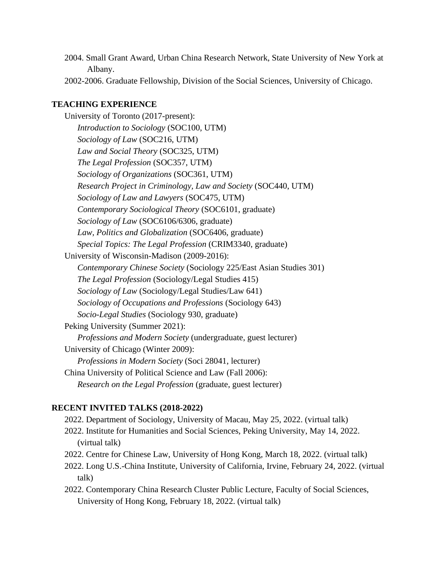- 2004. Small Grant Award, Urban China Research Network, State University of New York at Albany.
- 2002-2006. Graduate Fellowship, Division of the Social Sciences, University of Chicago.

## **TEACHING EXPERIENCE**

University of Toronto (2017-present): *Introduction to Sociology* (SOC100, UTM) *Sociology of Law* (SOC216, UTM) *Law and Social Theory* (SOC325, UTM) *The Legal Profession* (SOC357, UTM) *Sociology of Organizations* (SOC361, UTM) *Research Project in Criminology, Law and Society* (SOC440, UTM) *Sociology of Law and Lawyers* (SOC475, UTM) *Contemporary Sociological Theory* (SOC6101, graduate) *Sociology of Law* (SOC6106/6306, graduate) *Law, Politics and Globalization* (SOC6406, graduate) *Special Topics: The Legal Profession* (CRIM3340, graduate) University of Wisconsin-Madison (2009-2016): *Contemporary Chinese Society* (Sociology 225/East Asian Studies 301) *The Legal Profession* (Sociology/Legal Studies 415) *Sociology of Law* (Sociology/Legal Studies/Law 641) *Sociology of Occupations and Professions* (Sociology 643) *Socio-Legal Studies* (Sociology 930, graduate) Peking University (Summer 2021): *Professions and Modern Society* (undergraduate, guest lecturer) University of Chicago (Winter 2009): *Professions in Modern Society* (Soci 28041, lecturer) China University of Political Science and Law (Fall 2006): *Research on the Legal Profession* (graduate, guest lecturer)

#### **RECENT INVITED TALKS (2018-2022)**

2022. Department of Sociology, University of Macau, May 25, 2022. (virtual talk) 2022. Institute for Humanities and Social Sciences, Peking University, May 14, 2022. (virtual talk) 2022. Centre for Chinese Law, University of Hong Kong, March 18, 2022. (virtual talk)

- 2022. Long U.S.-China Institute, University of California, Irvine, February 24, 2022. (virtual talk)
- 2022. Contemporary China Research Cluster Public Lecture, Faculty of Social Sciences, University of Hong Kong, February 18, 2022. (virtual talk)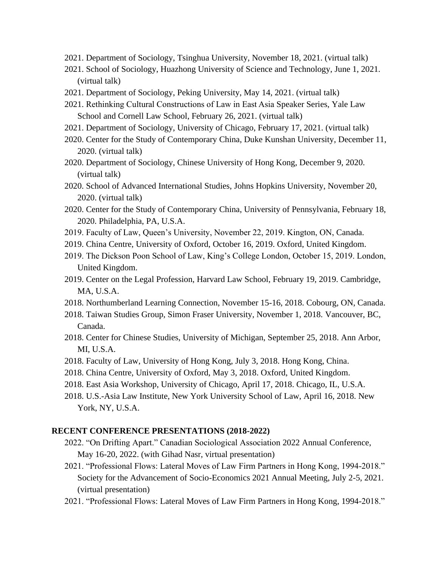- 2021. Department of Sociology, Tsinghua University, November 18, 2021. (virtual talk)
- 2021. School of Sociology, Huazhong University of Science and Technology, June 1, 2021. (virtual talk)
- 2021. Department of Sociology, Peking University, May 14, 2021. (virtual talk)
- 2021. Rethinking Cultural Constructions of Law in East Asia Speaker Series, Yale Law School and Cornell Law School, February 26, 2021. (virtual talk)
- 2021. Department of Sociology, University of Chicago, February 17, 2021. (virtual talk)
- 2020. Center for the Study of Contemporary China, Duke Kunshan University, December 11, 2020. (virtual talk)
- 2020. Department of Sociology, Chinese University of Hong Kong, December 9, 2020. (virtual talk)
- 2020. School of Advanced International Studies, Johns Hopkins University, November 20, 2020. (virtual talk)
- 2020. Center for the Study of Contemporary China, University of Pennsylvania, February 18, 2020. Philadelphia, PA, U.S.A.
- 2019. Faculty of Law, Queen's University, November 22, 2019. Kington, ON, Canada.
- 2019. China Centre, University of Oxford, October 16, 2019. Oxford, United Kingdom.
- 2019. The Dickson Poon School of Law, King's College London, October 15, 2019. London, United Kingdom.
- 2019. Center on the Legal Profession, Harvard Law School, February 19, 2019. Cambridge, MA, U.S.A.
- 2018. Northumberland Learning Connection, November 15-16, 2018. Cobourg, ON, Canada.
- 2018. Taiwan Studies Group, Simon Fraser University, November 1, 2018. Vancouver, BC, Canada.
- 2018. Center for Chinese Studies, University of Michigan, September 25, 2018. Ann Arbor, MI, U.S.A.
- 2018. Faculty of Law, University of Hong Kong, July 3, 2018. Hong Kong, China.
- 2018. China Centre, University of Oxford, May 3, 2018. Oxford, United Kingdom.
- 2018. East Asia Workshop, University of Chicago, April 17, 2018. Chicago, IL, U.S.A.
- 2018. U.S.-Asia Law Institute, New York University School of Law, April 16, 2018. New York, NY, U.S.A.

#### **RECENT CONFERENCE PRESENTATIONS (2018-2022)**

- 2022. "On Drifting Apart." Canadian Sociological Association 2022 Annual Conference, May 16-20, 2022. (with Gihad Nasr, virtual presentation)
- 2021. "Professional Flows: Lateral Moves of Law Firm Partners in Hong Kong, 1994-2018." Society for the Advancement of Socio-Economics 2021 Annual Meeting, July 2-5, 2021. (virtual presentation)
- 2021. "Professional Flows: Lateral Moves of Law Firm Partners in Hong Kong, 1994-2018."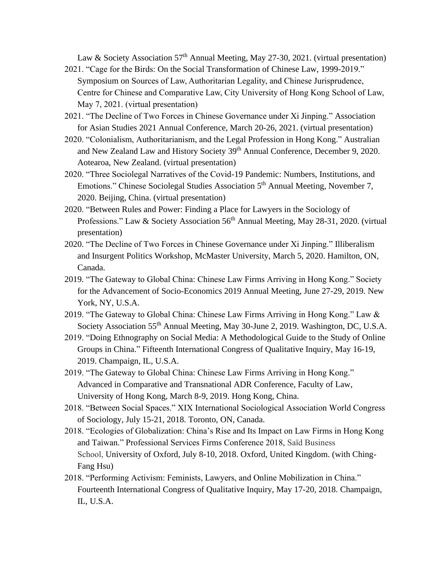Law & Society Association  $57<sup>th</sup>$  Annual Meeting, May 27-30, 2021. (virtual presentation)

- 2021. "Cage for the Birds: On the Social Transformation of Chinese Law, 1999-2019." Symposium on Sources of Law, Authoritarian Legality, and Chinese Jurisprudence, Centre for Chinese and Comparative Law, City University of Hong Kong School of Law, May 7, 2021. (virtual presentation)
- 2021. "The Decline of Two Forces in Chinese Governance under Xi Jinping." Association for Asian Studies 2021 Annual Conference, March 20-26, 2021. (virtual presentation)
- 2020. "Colonialism, Authoritarianism, and the Legal Profession in Hong Kong." Australian and New Zealand Law and History Society 39th Annual Conference, December 9, 2020. Aotearoa, New Zealand. (virtual presentation)
- 2020. "Three Sociolegal Narratives of the Covid-19 Pandemic: Numbers, Institutions, and Emotions." Chinese Sociolegal Studies Association 5<sup>th</sup> Annual Meeting, November 7, 2020. Beijing, China. (virtual presentation)
- 2020. "Between Rules and Power: Finding a Place for Lawyers in the Sociology of Professions." Law & Society Association 56<sup>th</sup> Annual Meeting, May 28-31, 2020. (virtual presentation)
- 2020. "The Decline of Two Forces in Chinese Governance under Xi Jinping." Illiberalism and Insurgent Politics Workshop, McMaster University, March 5, 2020. Hamilton, ON, Canada.
- 2019. "The Gateway to Global China: Chinese Law Firms Arriving in Hong Kong." Society for the Advancement of Socio-Economics 2019 Annual Meeting, June 27-29, 2019. New York, NY, U.S.A.
- 2019. "The Gateway to Global China: Chinese Law Firms Arriving in Hong Kong." Law & Society Association 55th Annual Meeting, May 30-June 2, 2019. Washington, DC, U.S.A.
- 2019. "Doing Ethnography on Social Media: A Methodological Guide to the Study of Online Groups in China." Fifteenth International Congress of Qualitative Inquiry, May 16-19, 2019. Champaign, IL, U.S.A.
- 2019. "The Gateway to Global China: Chinese Law Firms Arriving in Hong Kong." Advanced in Comparative and Transnational ADR Conference, Faculty of Law, University of Hong Kong, March 8-9, 2019. Hong Kong, China.
- 2018. "Between Social Spaces." XIX International Sociological Association World Congress of Sociology, July 15-21, 2018. Toronto, ON, Canada.
- 2018. "Ecologies of Globalization: China's Rise and Its Impact on Law Firms in Hong Kong and Taiwan." Professional Services Firms Conference 2018, Saïd Business School, University of Oxford, July 8-10, 2018. Oxford, United Kingdom. (with Ching-Fang Hsu)
- 2018. "Performing Activism: Feminists, Lawyers, and Online Mobilization in China." Fourteenth International Congress of Qualitative Inquiry, May 17-20, 2018. Champaign, IL, U.S.A.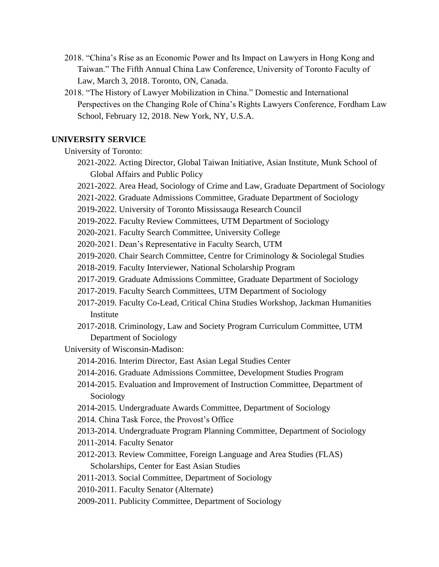- 2018. "China's Rise as an Economic Power and Its Impact on Lawyers in Hong Kong and Taiwan." The Fifth Annual China Law Conference, University of Toronto Faculty of Law, March 3, 2018. Toronto, ON, Canada.
- 2018. "The History of Lawyer Mobilization in China." Domestic and International Perspectives on the Changing Role of China's Rights Lawyers Conference, Fordham Law School, February 12, 2018. New York, NY, U.S.A.

# **UNIVERSITY SERVICE**

University of Toronto:

- 2021-2022. Acting Director, Global Taiwan Initiative, Asian Institute, Munk School of Global Affairs and Public Policy
- 2021-2022. Area Head, Sociology of Crime and Law, Graduate Department of Sociology
- 2021-2022. Graduate Admissions Committee, Graduate Department of Sociology
- 2019-2022. University of Toronto Mississauga Research Council
- 2019-2022. Faculty Review Committees, UTM Department of Sociology
- 2020-2021. Faculty Search Committee, University College
- 2020-2021. Dean's Representative in Faculty Search, UTM
- 2019-2020. Chair Search Committee, Centre for Criminology & Sociolegal Studies
- 2018-2019. Faculty Interviewer, National Scholarship Program
- 2017-2019. Graduate Admissions Committee, Graduate Department of Sociology
- 2017-2019. Faculty Search Committees, UTM Department of Sociology
- 2017-2019. Faculty Co-Lead, Critical China Studies Workshop, Jackman Humanities Institute
- 2017-2018. Criminology, Law and Society Program Curriculum Committee, UTM Department of Sociology

University of Wisconsin-Madison:

- 2014-2016. Interim Director, East Asian Legal Studies Center
- 2014-2016. Graduate Admissions Committee, Development Studies Program
- 2014-2015. Evaluation and Improvement of Instruction Committee, Department of Sociology
- 2014-2015. Undergraduate Awards Committee, Department of Sociology
- 2014. China Task Force, the Provost's Office
- 2013-2014. Undergraduate Program Planning Committee, Department of Sociology
- 2011-2014. Faculty Senator
- 2012-2013. Review Committee, Foreign Language and Area Studies (FLAS) Scholarships, Center for East Asian Studies
- 2011-2013. Social Committee, Department of Sociology
- 2010-2011. Faculty Senator (Alternate)
- 2009-2011. Publicity Committee, Department of Sociology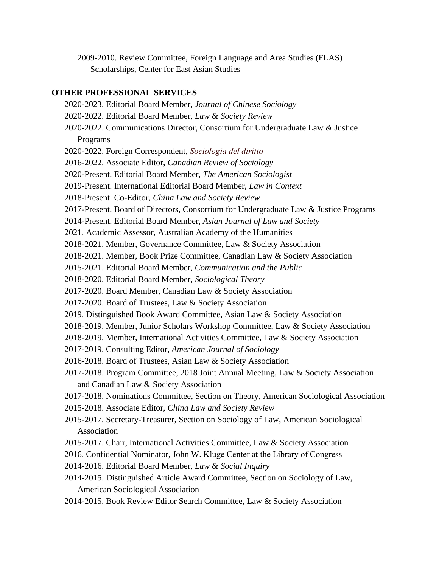2009-2010. Review Committee, Foreign Language and Area Studies (FLAS) Scholarships, Center for East Asian Studies

## **OTHER PROFESSIONAL SERVICES**

- 2020-2023. Editorial Board Member, *Journal of Chinese Sociology*
- 2020-2022. Editorial Board Member, *Law & Society Review*
- 2020-2022. Communications Director, Consortium for Undergraduate Law & Justice Programs
- 2020-2022. Foreign Correspondent, *Sociologia del diritto*
- 2016-2022. Associate Editor, *Canadian Review of Sociology*
- 2020-Present. Editorial Board Member, *The American Sociologist*
- 2019-Present. International Editorial Board Member, *Law in Context*
- 2018-Present. Co-Editor, *China Law and Society Review*
- 2017-Present. Board of Directors, Consortium for Undergraduate Law & Justice Programs
- 2014-Present. Editorial Board Member, *Asian Journal of Law and Society*
- 2021. Academic Assessor, Australian Academy of the Humanities
- 2018-2021. Member, Governance Committee, Law & Society Association
- 2018-2021. Member, Book Prize Committee, Canadian Law & Society Association
- 2015-2021. Editorial Board Member, *Communication and the Public*
- 2018-2020. Editorial Board Member, *Sociological Theory*
- 2017-2020. Board Member, Canadian Law & Society Association
- 2017-2020. Board of Trustees, Law & Society Association
- 2019. Distinguished Book Award Committee, Asian Law & Society Association
- 2018-2019. Member, Junior Scholars Workshop Committee, Law & Society Association
- 2018-2019. Member, International Activities Committee, Law & Society Association
- 2017-2019. Consulting Editor, *American Journal of Sociology*
- 2016-2018. Board of Trustees, Asian Law & Society Association
- 2017-2018. Program Committee, 2018 Joint Annual Meeting, Law & Society Association and Canadian Law & Society Association
- 2017-2018. Nominations Committee, Section on Theory, American Sociological Association
- 2015-2018. Associate Editor, *China Law and Society Review*
- 2015-2017. Secretary-Treasurer, Section on Sociology of Law, American Sociological Association
- 2015-2017. Chair, International Activities Committee, Law & Society Association
- 2016. Confidential Nominator, John W. Kluge Center at the Library of Congress
- 2014-2016. Editorial Board Member, *Law & Social Inquiry*
- 2014-2015. Distinguished Article Award Committee, Section on Sociology of Law, American Sociological Association
- 2014-2015. Book Review Editor Search Committee, Law & Society Association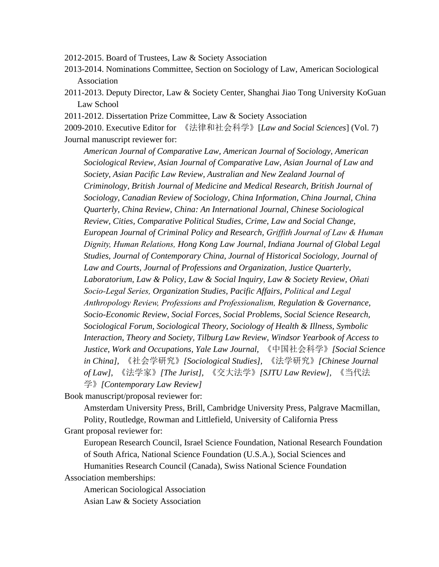2012-2015. Board of Trustees, Law & Society Association

- 2013-2014. Nominations Committee, Section on Sociology of Law, American Sociological Association
- 2011-2013. Deputy Director, Law & Society Center, Shanghai Jiao Tong University KoGuan Law School
- 2011-2012. Dissertation Prize Committee, Law & Society Association

2009-2010. Executive Editor for 《法律和社会科学》[*Law and Social Sciences*] (Vol. 7) Journal manuscript reviewer for:

*American Journal of Comparative Law, American Journal of Sociology, American Sociological Review, Asian Journal of Comparative Law, Asian Journal of Law and Society, Asian Pacific Law Review, Australian and New Zealand Journal of Criminology, British Journal of Medicine and Medical Research, British Journal of Sociology, Canadian Review of Sociology, China Information, China Journal, China Quarterly, China Review, China: An International Journal, Chinese Sociological Review, Cities, Comparative Political Studies, Crime, Law and Social Change, European Journal of Criminal Policy and Research, Griffith Journal of Law & Human Dignity, Human Relations, Hong Kong Law Journal, Indiana Journal of Global Legal Studies, Journal of Contemporary China, Journal of Historical Sociology, Journal of Law and Courts, Journal of Professions and Organization, Justice Quarterly, Laboratorium, Law & Policy, Law & Social Inquiry, Law & Society Review, Oñati Socio-Legal Series, Organization Studies, Pacific Affairs, Political and Legal Anthropology Review, Professions and Professionalism, Regulation & Governance, Socio-Economic Review, Social Forces, Social Problems, Social Science Research, Sociological Forum, Sociological Theory, Sociology of Health & Illness, Symbolic Interaction, Theory and Society, Tilburg Law Review, Windsor Yearbook of Access to Justice, Work and Occupations, Yale Law Journal,* 《中国社会科学》*[Social Science in China],* 《社会学研究》*[Sociological Studies],* 《法学研究》*[Chinese Journal of Law],* 《法学家》*[The Jurist],* 《交大法学》*[SJTU Law Review],* 《当代法 学》*[Contemporary Law Review]*

Book manuscript/proposal reviewer for:

Amsterdam University Press, Brill, Cambridge University Press, Palgrave Macmillan, Polity, Routledge, Rowman and Littlefield, University of California Press Grant proposal reviewer for:

European Research Council, Israel Science Foundation, National Research Foundation

of South Africa, National Science Foundation (U.S.A.), Social Sciences and

Humanities Research Council (Canada), Swiss National Science Foundation Association memberships:

American Sociological Association Asian Law & Society Association